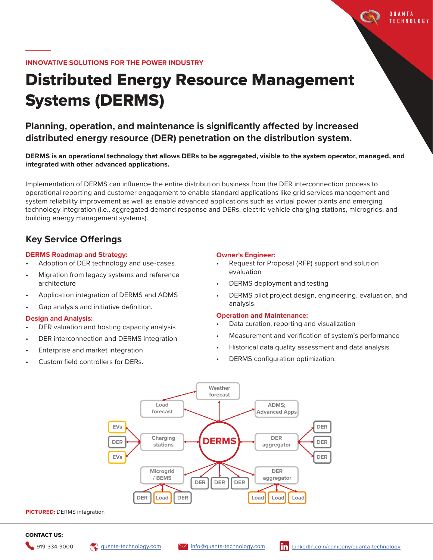

# Distributed Energy Resource Management Systems (DERMS)

**Planning, operation, and maintenance is significantly affected by increased distributed energy resource (DER) penetration on the distribution system.**

**DERMS is an operational technology that allows DERs to be aggregated, visible to the system operator, managed, and integrated with other advanced applications.**

Implementation of DERMS can influence the entire distribution business from the DER interconnection process to operational reporting and customer engagement to enable standard applications like grid services management and system reliability improvement as well as enable advanced applications such as virtual power plants and emerging technology integration (i.e., aggregated demand response and DERs, electric-vehicle charging stations, microgrids, and building energy management systems).

# **Key Service Offerings**

# **DERMS Roadmap and Strategy:**

- Adoption of DER technology and use-cases
- Migration from legacy systems and reference architecture
- Application integration of DERMS and ADMS
- Gap analysis and initiative definition.

# **Design and Analysis:**

- DER valuation and hosting capacity analysis
- DER interconnection and DERMS integration
- Enterprise and market integration
- Custom field controllers for DERs.

# **Owner's Engineer:**

- Request for Proposal (RFP) support and solution evaluation
- DERMS deployment and testing
- DERMS pilot project design, engineering, evaluation, and analysis.

**OUANTA TECHNOLOGY** 

# **Operation and Maintenance:**

- Data curation, reporting and visualization
- Measurement and verification of system's performance
- Historical data quality assessment and data analysis
- DERMS configuration optimization.



### CONTACT US: